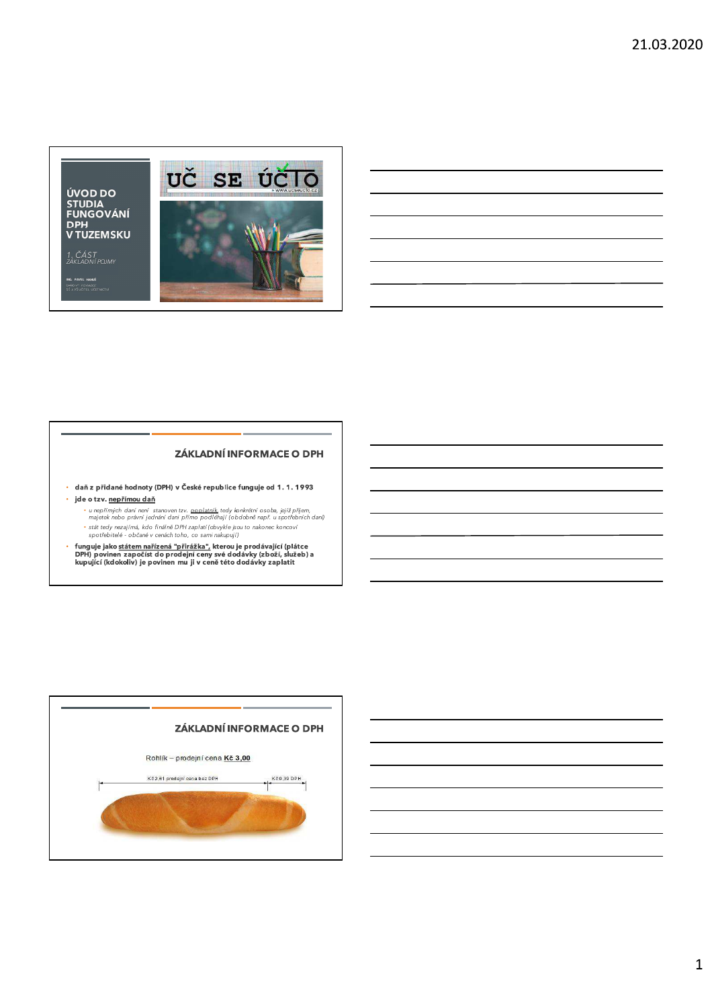ÚVOD DO STUDIA<br>FUNGOVÁNÍ **DPH<br>V TUZEMSKU** 

1. ČÁST<br>ZÁKLADNÍ POJMY

ING. PAVEL HANUŠ<br>DAŠIOVÝ PORADCE<br>SÍAVÍ UČITEL ÚČETN



# **ZÁKLADNÍ INFORMACE O DPH**

- · daň z přidané hodnoty (DPH) v České republice funguje od 1.1.1993
- · jde o tzv. nepřímou daň
	- u nepřímých daní není stanoven tzv. <u>poplatník,</u> tedy konkrétní osoba, jejíž přijem,<br>majetek nebo právní jednání dani přímo podléhají (obdobně např. u spotřebních daní) • stát tedy nezajímá, kdo finálně DPH zaplatí (obvykle jsou to nakonec koncoví<br>spotřebitelé - občané v cenách toho, co sami nakupují)
- funguje jako <u>státem nařízená "přirážka",</u> kterou je prodávající (plátce<br>DPH) povinen započíst do prodejní ceny své dodávky (zboží, služeb) a<br>kupující (kdokoliv) je povinen mu ji v ceně této dodávky zaplatit

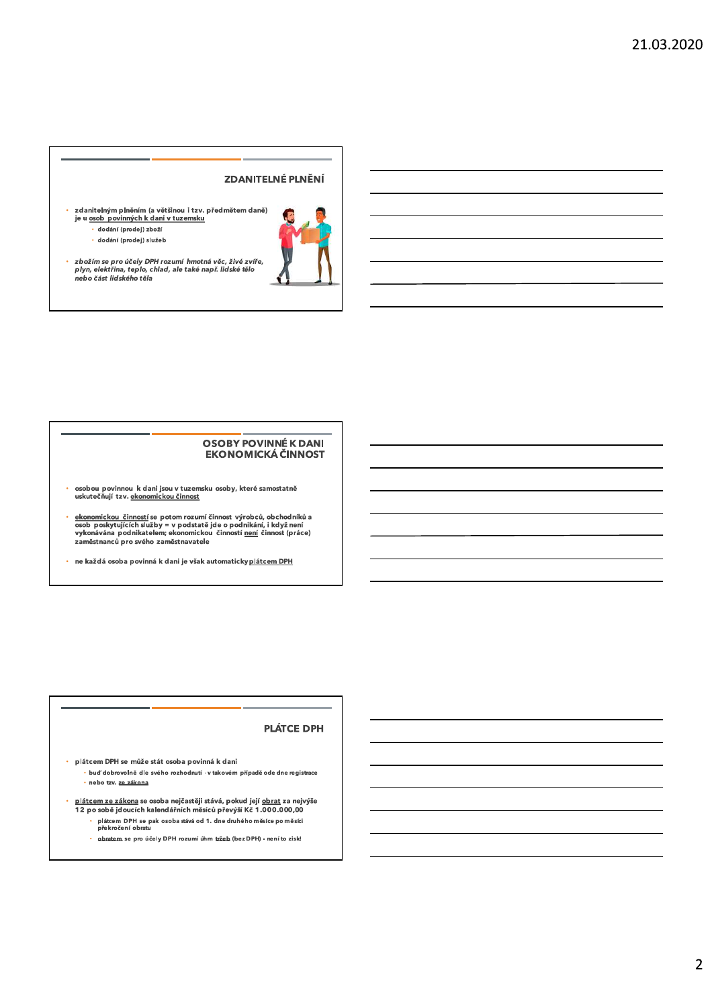# **ZDANITELNÉ PLNĚNÍ**

- zdanitelným plněním (a většinou i tzv. předmětem daně)<br>je u <u>osob povinných k dani v tuzemsku</u>  $\ddot{\phantom{a}}$ 
	- · dodání (prodej) zboží
	- · dodání (prodej) služeb



zbožím se pro účely DPH rozumí hmotná věc, živé zvíře,<br>plyn, elektřina, teplo, chlad, ale také např. lidské tělo<br>nebo část lidského těla  $\mathbf{v}$ 

# **OSOBY POVINNÉ K DANI** EKONOMICKÁ ČINNOST

- osobou povinnou k dani jsou v tuzemsku osoby, které samostatně<br>uskutečňují tzv. <u>ekonomickou činnost</u>
- <u>ekonomickou činností</u> se potom rozumí činnost výrobců, obchodníků a osob poskytujících služby = v podstatě jde o podnikání, i kdyžnení<br>vykonávána podnikatelem; ekonomickou činností <u>není</u> činnost (práce)<br>zaměstnanců pro s
- ne každá osoba povinná k dani je však automaticky plátcem DPH

# **PLÁTCE DPH**

plátcem DPH se může stát osoba povinná k dani  $\mathbb{Z}^2$ · buď dobrovolně dle svého rozhodnutí - v takovém případě ode dne registrace · nebo tzv. ze zákona

l.

- $\mathbb{Z}^2$ <u>plátcem ze zákona</u> se osoba nejčastěji stává, pokud její <u>obrat</u> za nejvýše<br>12 po sobě jdoucích kalendářních měsíců převýší Kč 1.000.000,00
	- plátem DPH se pak osoba stává od 1. dne druhého měsíce po měsíci<br>plátem DPH se pak osoba stává od 1. dne druhého měsíce po měsíci
		- obratem se pro účely DPH rozumí úhm tržeb (bez DPH) není to zisk!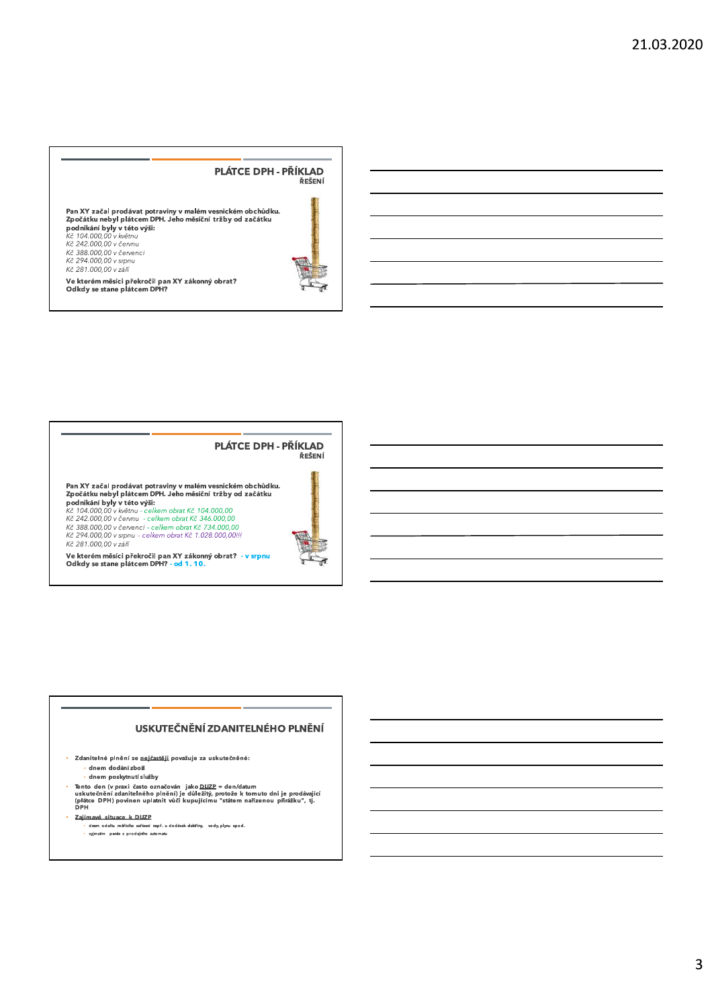

Ve kterém měsíci překročil pan XY zákonný obrat?<br>Odkdy se stane plátcem DPH?



Pan XY začal prodávat potraviny v malém vesnickém obchůdku.<br>Zpočátku nebyl plátcem DPH. Jeho měsíční tržby od začátku

**Example 2000**<br> **Example 2000**<br> **Example 2000**<br> **Example 2000**<br> **Example 2000,000**<br> **Example 2000,000**<br> **Example 2000,000**<br> **Example 2000,000**<br> **Example 2000,000**<br> **Example 2000,000**<br> **Example 2000,000**<br> **Example 2000,000** Kč 281.000,00 v září



# Ve kterém měsíci překročil pan XY zákonný obrat? - v srpnu<br>Odkdy se stane plátcem DPH? - o<mark>d 1. 10.</mark>

# USKUTEČNĚNÍ ZDANITELNÉHO PLNĚNÍ

· Zdanitelné plnění se nejčastěji považuje za uskutečněné: dnem dodání zboží

 $\cdot$  dnem poskytnutí služby

- ⊶ιաτιι μνοκιγατια stuzby<br>Tento den (v praxi často označován jako <u>DUZP</u> = den/datum<br>uskutečnění zdanitelného plnění) je důležitý, protože k tomuto dni je prodávající<br>(plátce DPH) povinen uplatnit vůči kupujícímu "stát

· Zaiímavé situace k DUZP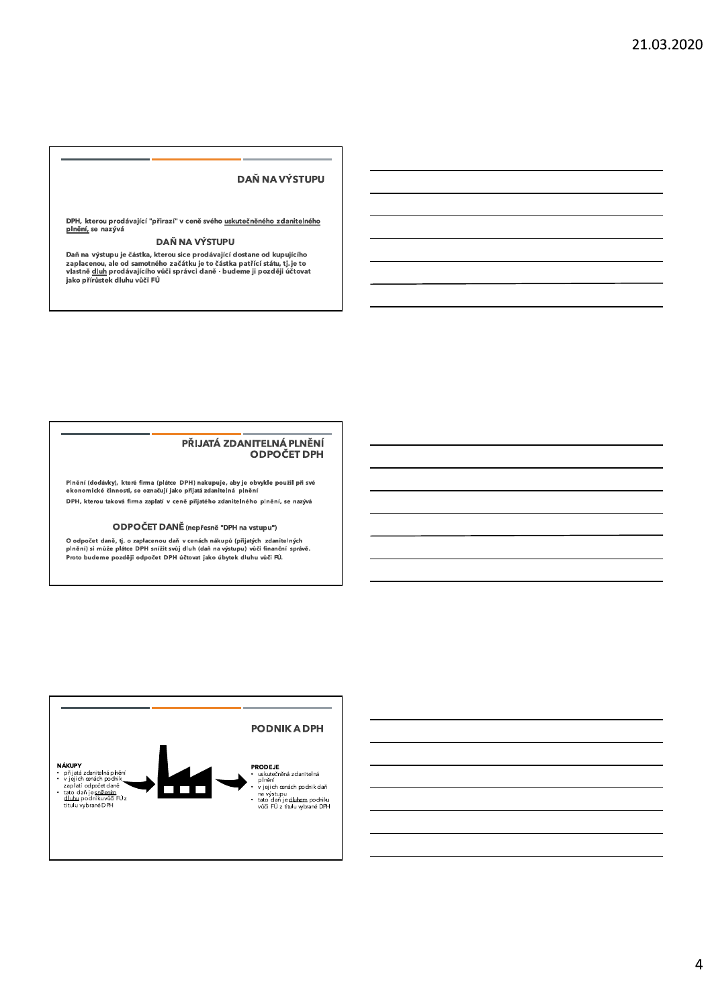# **DAŇ NA VÝSTUPU**

DPH, kterou prodávající "přirazí" v ceně svého <u>uskutečněného zdanitelného</u><br><u>plnění,</u> se nazývá

# DAŇ NA VÝSTUPU

Daň na výstupu je částka, kterou sice prodávající dostane od kupujícího<br>zaplacenou, ale od samotného začátku je to částka patřící státu, tj. je to<br>vlastně <u>dluh</u> prodávajícího vůči správci daně - budeme ji později účtovat<br>

#### PŘIJATÁ ZDANITELNÁ PLNĚNÍ **ODPOČET DPH**

Plnění (dodávky), které firma (plátce DPH) nakupuje, aby je obvykle použil při své<br>ekonomické činnosti, se označují jako přijatá zdanitelná plnění DPH, kterou taková firma zaplatí v ceně přijatého zdanitelného plnění, se nazývá

#### ODPOČET DANĚ (nepřesně "DPH na vstupu")

O odpočet daně, tj. o zaplacenou daň v cenách nákupů (přijatých zdanitelných<br>plnění) si může plátce DPH snížit svůj dluh (daň na výstupu) vůči finanční správě. Proto budeme později odpočet DPH účtovat jako úbytek dluhu vůči FÚ.

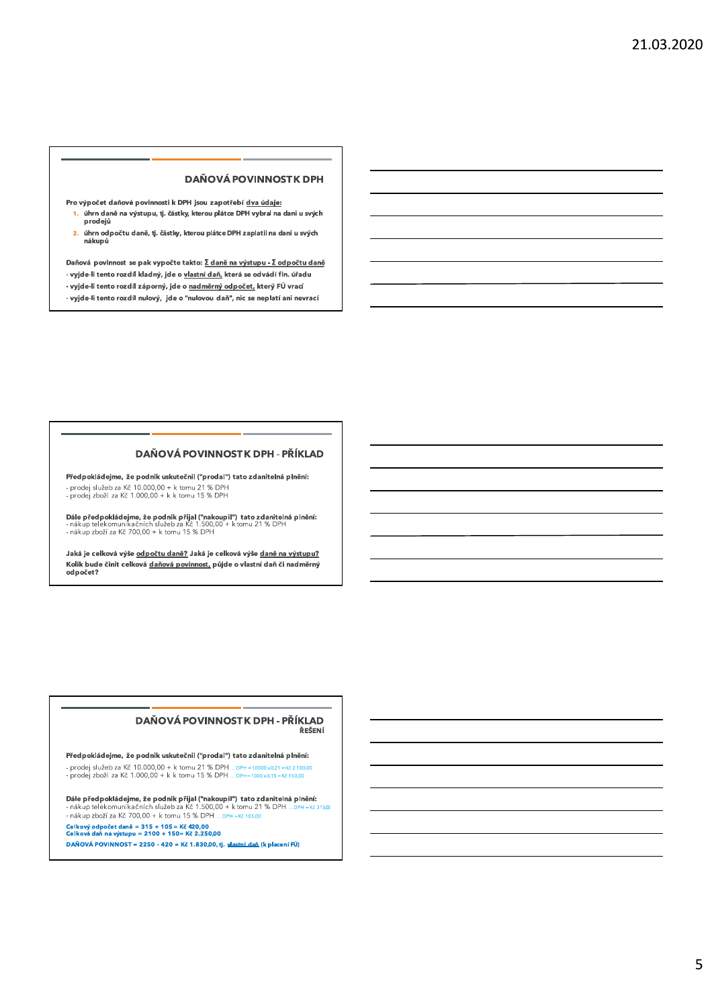# **DAŇOVÁ POVINNOSTK DPH**

Pro výpočet daňové povinnosti k DPH jsou zapotřebí dva údaje:

- 1. úhrn daně na výstupu, tj. částky, kterou plátce DPH vybral na dani u svých prodejů
- 2. úhrn odpočtu daně, tj. částky, kterou plátce DPH zaplatil na dani u svých nákupů

Daňová povinnost se pak vypočte takto: Σ daně na výstupu - Σ odpočtu daně

- vyjde-li tento rozdíl kladný, jde o vlastní daň, která se odvádí fin. úřadu
- vyjde-li tento rozdíl záporný, jde o nadměrný odpočet, který FÚ vrací
- vyjde-li tento rozdíl nulový, jde o "nulovou daň", nic se neplatí ani nevrací

# DAŇOVÁ POVINNOSTK DPH - PŘÍKLAD

Předpokládejme, že podnik uskutečnil ("prodal") tato zdanitelná plnění: - Prodej služeb za Kč 10.000,00 + k tomu 21 % DPH<br>- prodej služeb za Kč 10.000,00 + k tomu 21 % DPH<br>- prodej zboží za Kč 1.000,00 + k k tomu 15 % DPH

Dále předpokládejme, že podnik přijal ("nakoupil") tato zdanitelná plnění:<br>- nákup telekomunikačních služeb za Kč 1.500,00 + k tomu 21 % DPH - nákup telekomunikačních služeb za Kč 1.500,00<br>- nákup zboží za Kč 700,00 + k tomu 15 % DPH

Jaká je celková výše odpočtu daně? Jaká je celková výše daně na výstupu? Kolik bude činit celková daňová povinnost, půjde o vlastní daň či nadměrný odpočet?

#### DAŇOVÁ POVINNOSTK DPH - PŘÍKLAD ŘEŠENÍ

Předpokládejme, že podnik uskutečnil ("prodal") tato zdanitelná plnění: - Prodej služeb za Kč 10.000,00 + k tomu 21 % DPH ... DPH -10000x021-Kč 2.100,00<br>- prodej služeb za Kč 10.000,00 + k tomu 21 % DPH ... DPH -10000x021-Kč 2.100,00<br>- prodej zboží za Kč 1.000,00 + k k tomu 15 % DPH ... DPH -

Dále předpokládejme, že podnik přijal ("nakoupil") tato zdanitelná plnění: nákup telekomunikačních služeb za Kč 1.500.00 + k tomu 21 % DPH …рвн - кč 31500 - nákup zboží za Kč 700,00 + k tomu 15 % DPH ... DPH = Kč 105,00

Celkový odpočet daně = 315 + 105 = Kč 420,00<br>Celková daň na výstupu = 2100 + 150= Kč 2.250,00

DAŇOVÁ POVINNOST = 2250 - 420 = Kč 1.830,00, tj. vlastní daň (k placení FÚ)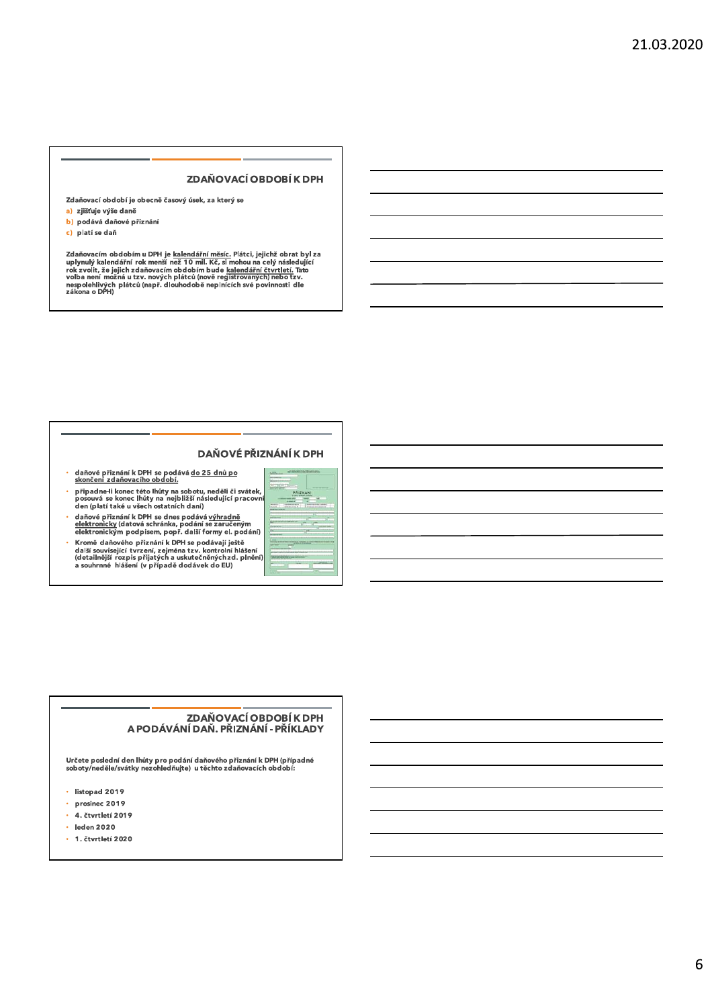# ZDAŇOVACÍ OBDOBÍ K DPH

Zdaňovací období je obecně časový úsek, za který se

- a) zjišťuje výše daně b) podává daňové přiznání
- c) platí se daň

Zdaňovacím obdobím u DPH je <u>kalendářní měsíc.</u> Plátci, jejichž obrat byl za uplynulý kalendářní rok menší než 10 mil. Kč, si mohou na celý následující rok zvolit, že jejich zdaňovacím obdobím bude kalendářní čtvrtletí. Ta

# DAŇOVÉ PŘIZNÁNÍ K DPH

- daňové přiznání k DPH se podává do 25 dnů po<br>skončení zdaňovacího období.
- 
- 
- den (platí také u vsech ostatních daní)<br>daňové přiznání k DPH se dnes podává <u>výhradně</u><br>elektronický (datová schránka, podání se zaručeným<br>elektronickým podpisem, popř. další formy el. podání)<br>Kromě daňového přiznání k DPH



# ZDAŇOVACÍ OBDOBÍ K DPH A PODÁVÁNÍ DAŇ. PŘÍZNÁNÍ - PŘÍKLADY

Určete poslední den lhůty pro podání daňového přiznání k DPH (případné<br>soboty/neděle/svátky nezohledňujte) u těchto zdaňovacích období:

- $\cdot$  listopad 2019
- prosinec  $2019$
- · 4. čtvrtletí 2019
- $\cdot$  leden 2020
- 1. čtvrtletí 2020 A.